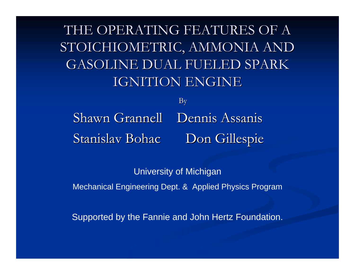THE OPERATING FEATURES OF A STOICHIOMETRIC, AMMONIA AND GASOLINE DUAL FUELED SPARK **IGNITION ENGINE** 

By Shawn Grannell Dennis Assanis Stanislav Bohac Don Gillespie

University of Michigan Mechanical Engineering Dept. & Applied Physics Program

Supported by the Fannie and John Hertz Foundation.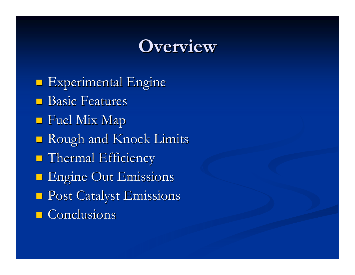# **Overview Overview**

**Experimental Engine**  $\blacksquare$  Basic Features  $\blacksquare$  Fuel Mix Map **Rough and Knock Limits**  $\blacksquare$  Thermal Efficiency **Engine Out Emissions**  Post Catalyst Emissions Post Catalyst Emissions  $\Box$  Conclusions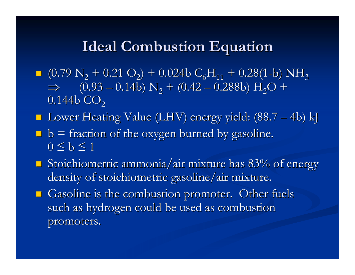# **Ideal Combustion Equation Ideal Combustion Equation**

- $(0.79 \text{ N}_2 + 0.21 \text{ O}_2) + 0.024 \text{ b } C_6\text{H}_{11} + 0.28(1-\text{b}) \text{ NH}_3$  $\Rightarrow$  (0.93 – 0.14b) N<sub>2</sub> + (0.42 – 0.288b) H<sub>2</sub>O +  $0.144$ b  $\mathrm{CO}_2$
- Lower Heating Value (LHV) energy yield: (88.7 4b) kJ
- $\blacksquare$  b = fraction of the oxygen burned by gasoline.  $0 \leq b \leq 1$
- Stoichiometric ammonia/air mixture has  $83%$  of energy density of stoichiometric gasoline/air mixture.
- Gasoline is the combustion promoter. Other fuels such as hydrogen could be used as combustion promoters.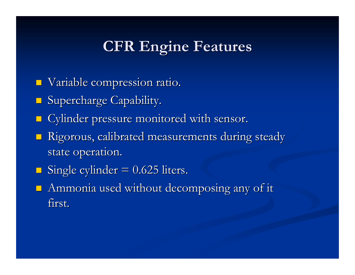# **CFR Engine Features CFR Engine Features**

- $\blacksquare$ Variable compression ratio.
- **Supercharge Capability.**
- $\blacksquare$ Cylinder pressure monitored with sensor.
- p. Rigorous, calibrated measurements during steady state operation.
- Single cylinder  $= 0.625$  liters.
- Ammonia used without decomposing any of it first.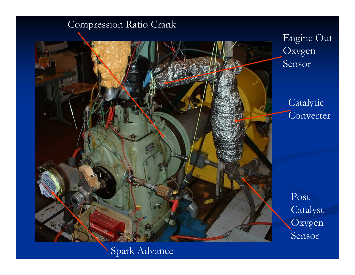### Compression Ratio Crank



Spark Advance

Post Catalyst Oxygen Sensor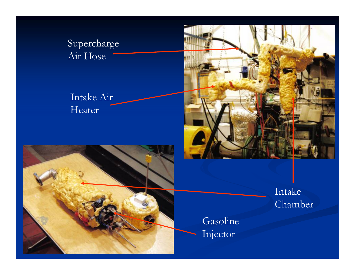Supercharge Air Hose

Intake Air Heater





Intake Chamber

Gasoline Injector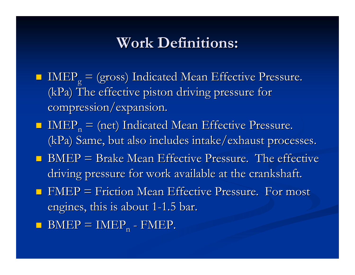# **Work Definitions: Work Definitions:**

- $\blacksquare$  IMEP<sub>g</sub> = (gross) Indicated Mean Effective Pressure.  $(kPa)$  The effective piston driving pressure for compression/expansion.
- $\blacksquare$  IMEP<sub>n</sub> = (net) Indicated Mean Effective Pressure. (kPa) Same, but also includes intake/exhaust processes.
- $\blacksquare$  BMEP = Brake Mean Effective Pressure. The effective driving pressure for work available at the crankshaft.
- $\blacksquare$  FMEP = Friction Mean Effective Pressure. For most engines, this is about 1-1.5 bar.
- $\blacksquare$  BMEP  $\blacksquare$  IMEP<sub>n</sub> - FMEP.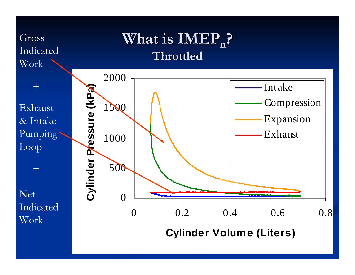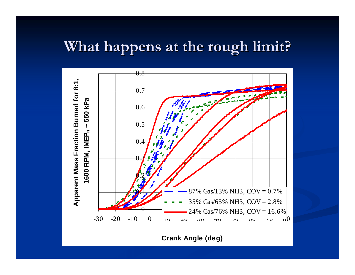# **What happens at the rough limit? What happens at the rough limit?**



**Crank Angle (deg)**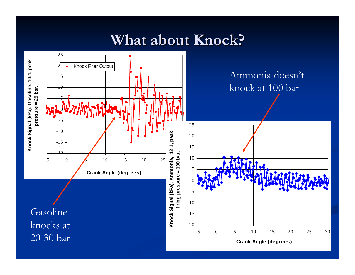# **What about Knock? What about Knock?**

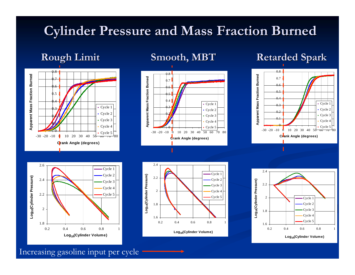## **Cylinder Pressure and Mass Fraction Burned Cylinder Pressure and Mass Fraction Burned**









#### **Rough Limit Smooth, MBT Retarded Spark**





Increasing gasoline input per cycle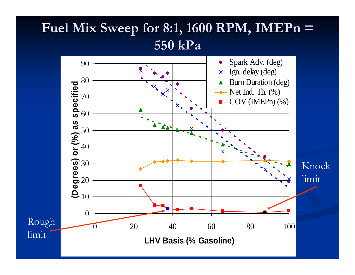# **Fuel Mix Sweep for 8:1, 1600 RPM, Fuel Mix Sweep for 8:1, 1600 RPM, IMEPn <sup>=</sup> 550 kPa**

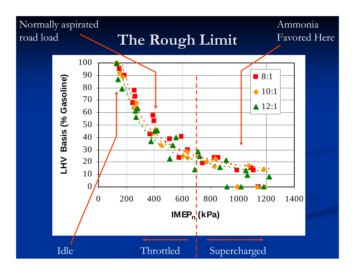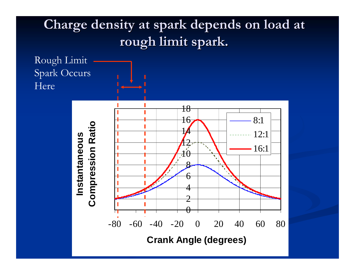#### Charge density at spark depends on load at **rough limit spark rough limit spark .**

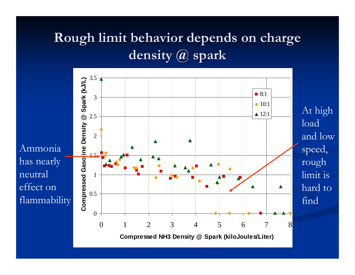# **Rough limit behavior depends on charge Rough limit behavior depends on charge density @ spark density @ spark**

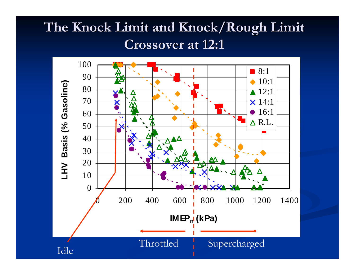# The Knock Limit and Knock/Rough Limit **Crossover at 12:1 Crossover at 12:1**

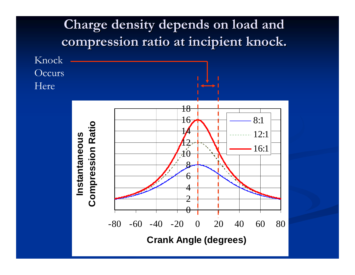#### **Charge density depends on load and Charge density depends on load and compression ratio at incipient knock compression ratio at incipient knock .**

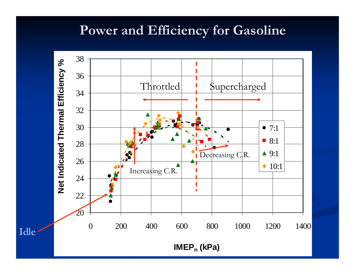## **Power and Efficiency for Gasoline Power and Efficiency for Gasoline**

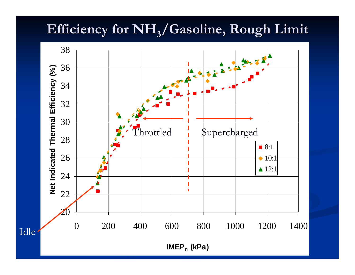# Efficiency for  $NH<sub>3</sub>/Gasoline, Rough Limit$



Idle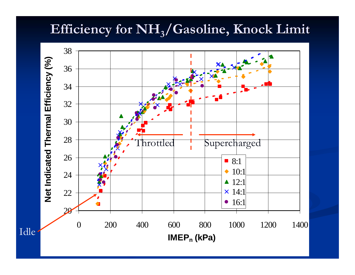# $\operatorname{Efficiency}$  for  $\operatorname{NH}_3/\mathbf{G}$ asoline, Knock Limit

![](_page_19_Figure_1.jpeg)

Idle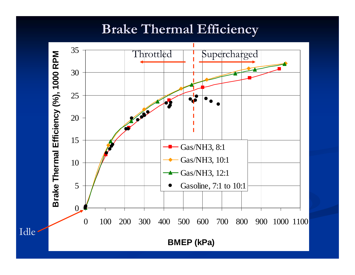# **Brake Thermal Efficiency Brake Thermal Efficiency**

![](_page_20_Figure_1.jpeg)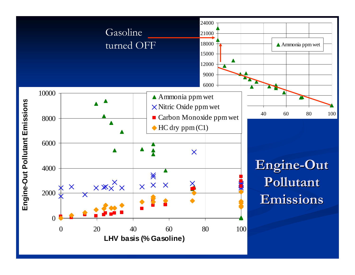![](_page_21_Figure_0.jpeg)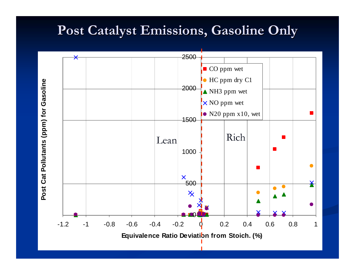# **Post Catalyst Emissions, Gasoline Only Post Catalyst Emissions, Gasoline Only**

![](_page_22_Figure_1.jpeg)

![](_page_22_Figure_2.jpeg)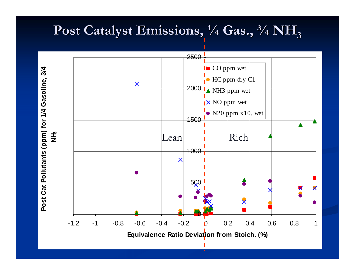# **Post Catalyst Emissions, Post Catalyst Emissions, ¼ Gas., ¾ NH 3**

![](_page_23_Figure_1.jpeg)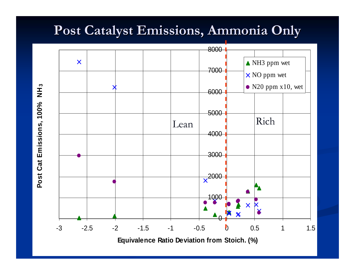# **Post Catalyst Emissions, Ammonia Only Post Catalyst Emissions, Ammonia Only**

![](_page_24_Figure_1.jpeg)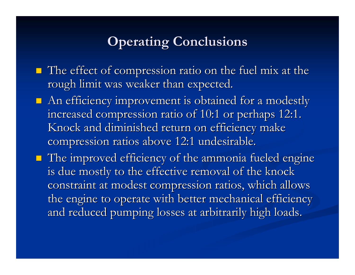## **Operating Conclusions Operating Conclusions**

- $\blacksquare$  The effect of compression ratio on the fuel mix at the rough limit was weaker than expected.
- $\blacksquare$  An efficiency improvement is obtained for a modestly increased compression ratio of 10:1 or perhaps 12:1. Knock and diminished return on efficiency make compression ratios above 12:1 undesirable.
- $\blacksquare$  The improved efficiency of the ammonia fueled engine is due mostly to the effective removal of the knock constraint at modest compression ratios, which allows the engine to operate with better mechanical efficiency and reduced pumping losses at arbitrarily high loads.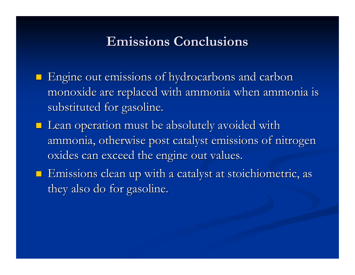### **Emissions Conclusions Emissions Conclusions**

- $\blacksquare$  Engine out emissions of hydrocarbons and carbon monoxide are replaced with ammonia when ammonia is substituted for gasoline.
- $\blacksquare$  Lean operation must be absolutely avoided with ammonia, otherwise post catalyst emissions of nitrogen oxides can exceed the engine out values.
- $\blacksquare$  Emissions clean up with a catalyst at stoichiometric, as they also do for gasoline.